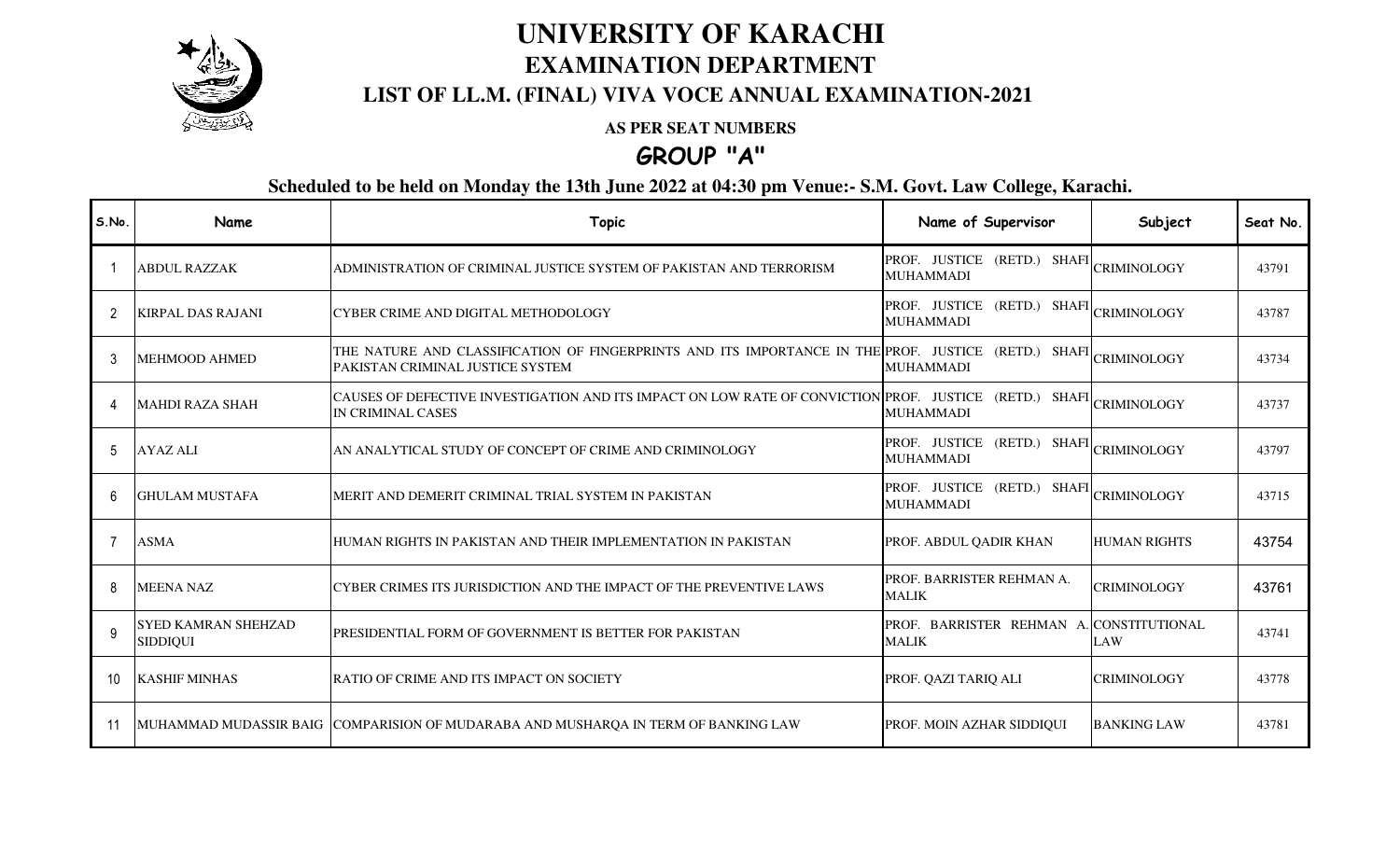

## **UNIVERSITY OF KARACHI EXAMINATION DEPARTMENT**

### **LIST OF LL.M. (FINAL) VIVA VOCE ANNUAL EXAMINATION-2021**

#### **AS PER SEAT NUMBERS**

**GROUP "A"**

**Scheduled to be held on Monday the 13th June 2022 at 04:30 pm Venue:- S.M. Govt. Law College, Karachi.**

| S.No.          | Name                                          | <b>Topic</b>                                                                                                                                   | Name of Supervisor                                       | Subject             | Seat No. |
|----------------|-----------------------------------------------|------------------------------------------------------------------------------------------------------------------------------------------------|----------------------------------------------------------|---------------------|----------|
|                | ABDUL RAZZAK                                  | ADMINISTRATION OF CRIMINAL JUSTICE SYSTEM OF PAKISTAN AND TERRORISM                                                                            | PROF. JUSTICE (RETD.) SHAFI<br><b>MUHAMMADI</b>          | <b>CRIMINOLOGY</b>  | 43791    |
| $\overline{2}$ | <b>KIRPAL DAS RAJANI</b>                      | CYBER CRIME AND DIGITAL METHODOLOGY                                                                                                            | (RETD.) SHAFI<br>PROF. JUSTICE<br><b>MUHAMMADI</b>       | <b>CRIMINOLOGY</b>  | 43787    |
| 3              | <b>MEHMOOD AHMED</b>                          | THE NATURE AND CLASSIFICATION OF FINGERPRINTS AND ITS IMPORTANCE IN THE PROF. JUSTICE (RETD.) SHAFI<br>PAKISTAN CRIMINAL JUSTICE SYSTEM        | <b>MUHAMMADI</b>                                         | <b>CRIMINOLOGY</b>  | 43734    |
| Δ              | <b>MAHDI RAZA SHAH</b>                        | CAUSES OF DEFECTIVE INVESTIGATION AND ITS IMPACT ON LOW RATE OF CONVICTION PROF. JUSTICE (RETD.) SHAFI CRIMINOLOGY<br><b>IN CRIMINAL CASES</b> | <b>MUHAMMADI</b>                                         |                     | 43737    |
| 5              | <b>AYAZ ALI</b>                               | AN ANALYTICAL STUDY OF CONCEPT OF CRIME AND CRIMINOLOGY                                                                                        | PROF. JUSTICE (RETD.) SHAFI CRIMINOLOGY<br>MUHAMMADI     |                     | 43797    |
| 6              | <b>GHULAM MUSTAFA</b>                         | MERIT AND DEMERIT CRIMINAL TRIAL SYSTEM IN PAKISTAN                                                                                            | PROF. JUSTICE (RETD.) SHAFI<br><b>MUHAMMADI</b>          | <b>CRIMINOLOGY</b>  | 43715    |
|                | <b>ASMA</b>                                   | HUMAN RIGHTS IN PAKISTAN AND THEIR IMPLEMENTATION IN PAKISTAN                                                                                  | PROF. ABDUL QADIR KHAN                                   | <b>HUMAN RIGHTS</b> | 43754    |
| 8              | <b>MEENA NAZ</b>                              | CYBER CRIMES ITS JURISDICTION AND THE IMPACT OF THE PREVENTIVE LAWS                                                                            | PROF. BARRISTER REHMAN A.<br><b>MALIK</b>                | CRIMINOLOGY         | 43761    |
| 9              | <b>SYED KAMRAN SHEHZAD</b><br><b>SIDDIQUI</b> | PRESIDENTIAL FORM OF GOVERNMENT IS BETTER FOR PAKISTAN                                                                                         | PROF. BARRISTER REHMAN A. CONSTITUTIONAL<br><b>MALIK</b> | LAW                 | 43741    |
| 10             | <b>KASHIF MINHAS</b>                          | RATIO OF CRIME AND ITS IMPACT ON SOCIETY                                                                                                       | PROF. QAZI TARIQ ALI                                     | <b>CRIMINOLOGY</b>  | 43778    |
| 11             |                                               | MUHAMMAD MUDASSIR BAIG COMPARISION OF MUDARABA AND MUSHARQA IN TERM OF BANKING LAW                                                             | PROF. MOIN AZHAR SIDDIQUI                                | <b>BANKING LAW</b>  | 43781    |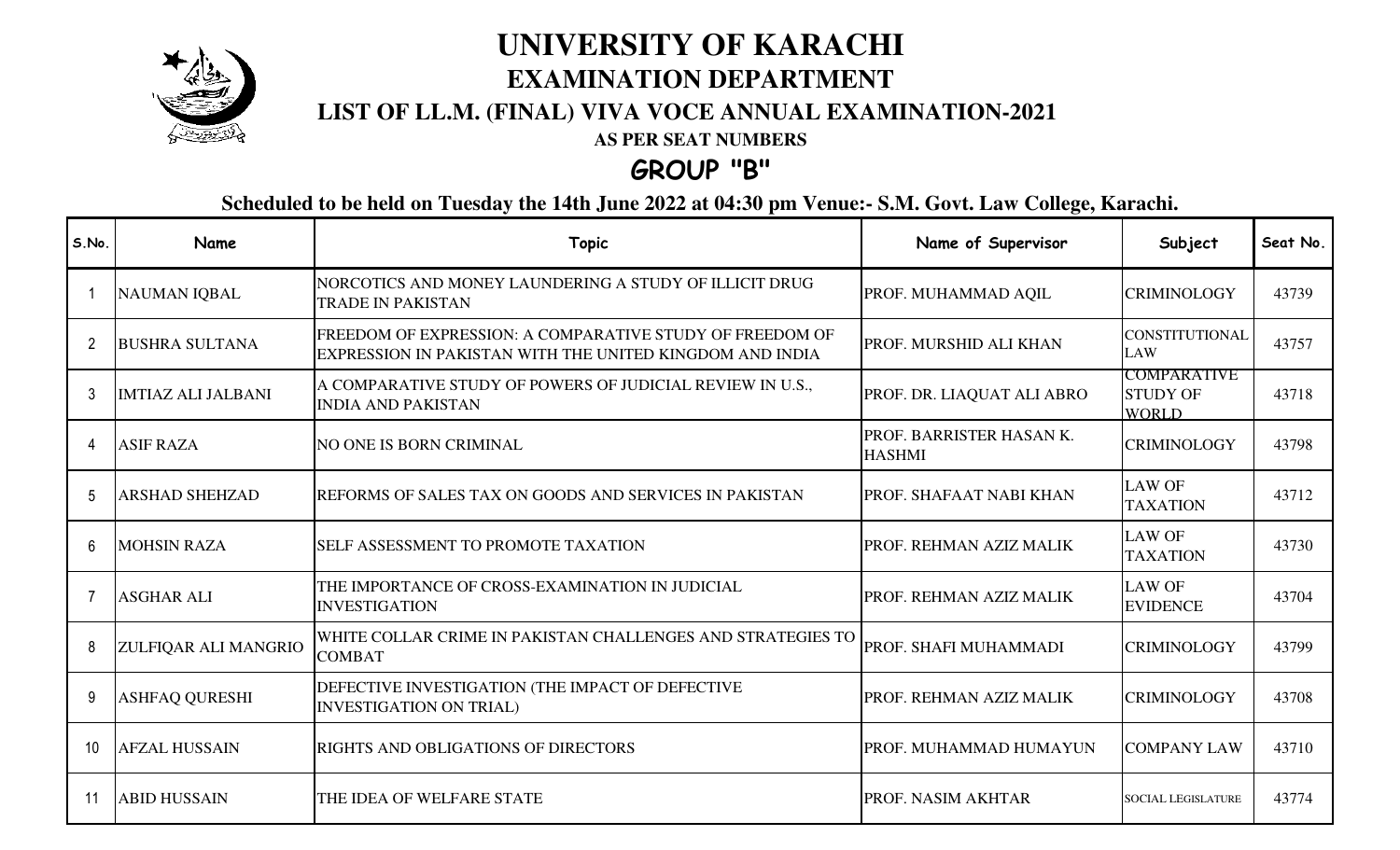

# **UNIVERSITY OF KARACHI EXAMINATION DEPARTMENT**

## **LIST OF LL.M. (FINAL) VIVA VOCE ANNUAL EXAMINATION-2021**

**AS PER SEAT NUMBERS**

## **GROUP "B"**

**Scheduled to be held on Tuesday the 14th June 2022 at 04:30 pm Venue:- S.M. Govt. Law College, Karachi.**

| S.No. | Name                        | <b>Topic</b>                                                                                                         | Name of Supervisor                        | Subject                                               | Seat No. |
|-------|-----------------------------|----------------------------------------------------------------------------------------------------------------------|-------------------------------------------|-------------------------------------------------------|----------|
|       | <b>NAUMAN IQBAL</b>         | NORCOTICS AND MONEY LAUNDERING A STUDY OF ILLICIT DRUG<br><b>TRADE IN PAKISTAN</b>                                   | PROF. MUHAMMAD AQIL                       | <b>CRIMINOLOGY</b>                                    | 43739    |
|       | <b>BUSHRA SULTANA</b>       | FREEDOM OF EXPRESSION: A COMPARATIVE STUDY OF FREEDOM OF<br>EXPRESSION IN PAKISTAN WITH THE UNITED KINGDOM AND INDIA | PROF. MURSHID ALI KHAN                    | CONSTITUTIONAL<br><b>LAW</b>                          | 43757    |
|       | <b>IMTIAZ ALI JALBANI</b>   | A COMPARATIVE STUDY OF POWERS OF JUDICIAL REVIEW IN U.S.,<br><b>INDIA AND PAKISTAN</b>                               | PROF. DR. LIAQUAT ALI ABRO                | <b>COMPARATIVE</b><br><b>STUDY OF</b><br><b>WORLD</b> | 43718    |
|       | <b>ASIF RAZA</b>            | NO ONE IS BORN CRIMINAL                                                                                              | PROF. BARRISTER HASAN K.<br><b>HASHMI</b> | <b>CRIMINOLOGY</b>                                    | 43798    |
|       | <b>ARSHAD SHEHZAD</b>       | REFORMS OF SALES TAX ON GOODS AND SERVICES IN PAKISTAN                                                               | <b>PROF. SHAFAAT NABI KHAN</b>            | <b>LAW OF</b><br><b>TAXATION</b>                      | 43712    |
| 6     | <b>MOHSIN RAZA</b>          | SELF ASSESSMENT TO PROMOTE TAXATION                                                                                  | PROF. REHMAN AZIZ MALIK                   | <b>LAW OF</b><br><b>TAXATION</b>                      | 43730    |
|       | <b>ASGHAR ALI</b>           | THE IMPORTANCE OF CROSS-EXAMINATION IN JUDICIAL<br><b>INVESTIGATION</b>                                              | PROF. REHMAN AZIZ MALIK                   | <b>LAW OF</b><br><b>EVIDENCE</b>                      | 43704    |
| 8     | <b>ZULFIQAR ALI MANGRIO</b> | WHITE COLLAR CRIME IN PAKISTAN CHALLENGES AND STRATEGIES TO<br><b>COMBAT</b>                                         | <b>PROF. SHAFI MUHAMMADI</b>              | <b>CRIMINOLOGY</b>                                    | 43799    |
| 9     | <b>ASHFAQ QURESHI</b>       | DEFECTIVE INVESTIGATION (THE IMPACT OF DEFECTIVE<br><b>INVESTIGATION ON TRIAL)</b>                                   | PROF. REHMAN AZIZ MALIK                   | <b>CRIMINOLOGY</b>                                    | 43708    |
|       | <b>AFZAL HUSSAIN</b>        | RIGHTS AND OBLIGATIONS OF DIRECTORS                                                                                  | PROF. MUHAMMAD HUMAYUN                    | <b>COMPANY LAW</b>                                    | 43710    |
| -11   | <b>ABID HUSSAIN</b>         | THE IDEA OF WELFARE STATE                                                                                            | <b>PROF. NASIM AKHTAR</b>                 | <b>SOCIAL LEGISLATURE</b>                             | 43774    |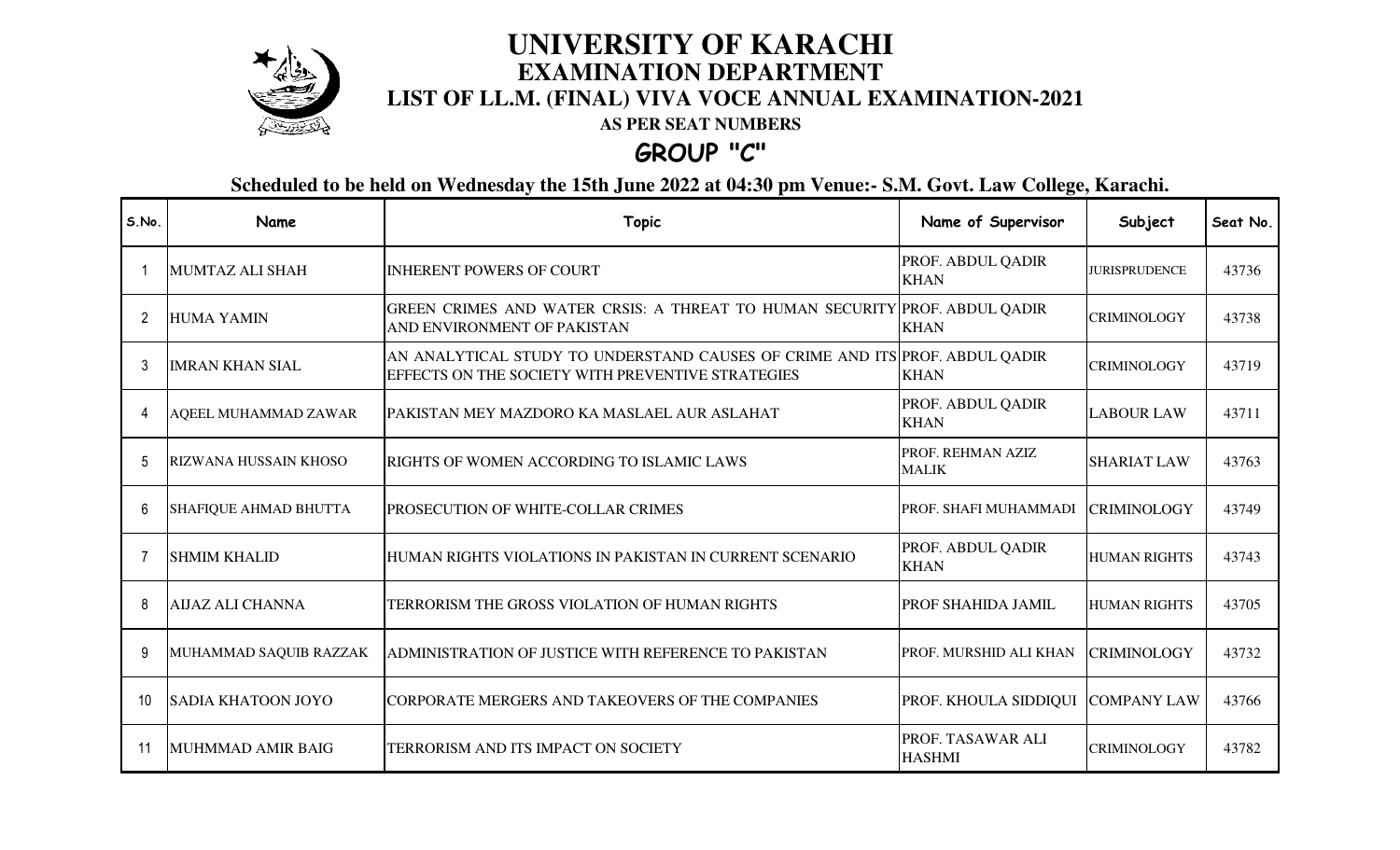

## **LIST OF LL.M. (FINAL) VIVA VOCE ANNUAL EXAMINATION-2021 UNIVERSITY OF KARACHI EXAMINATION DEPARTMENT**

**AS PER SEAT NUMBERS**

**GROUP "C"**

**Scheduled to be held on Wednesday the 15th June 2022 at 04:30 pm Venue:- S.M. Govt. Law College, Karachi.**

| S.No. | Name                         | <b>Topic</b>                                                                                                                     | Name of Supervisor                 | Subject              | Seat No. |
|-------|------------------------------|----------------------------------------------------------------------------------------------------------------------------------|------------------------------------|----------------------|----------|
|       | <b>MUMTAZ ALI SHAH</b>       | <b>INHERENT POWERS OF COURT</b>                                                                                                  | PROF. ABDUL QADIR<br><b>KHAN</b>   | <b>JURISPRUDENCE</b> | 43736    |
|       | <b>HUMA YAMIN</b>            | GREEN CRIMES AND WATER CRSIS: A THREAT TO HUMAN SECURITY PROF. ABDUL QADIR<br>AND ENVIRONMENT OF PAKISTAN                        | <b>KHAN</b>                        | <b>CRIMINOLOGY</b>   | 43738    |
| 3     | <b>IMRAN KHAN SIAL</b>       | AN ANALYTICAL STUDY TO UNDERSTAND CAUSES OF CRIME AND ITS PROF. ABDUL QADIR<br>EFFECTS ON THE SOCIETY WITH PREVENTIVE STRATEGIES | <b>KHAN</b>                        | <b>CRIMINOLOGY</b>   | 43719    |
| 4     | AQEEL MUHAMMAD ZAWAR         | PAKISTAN MEY MAZDORO KA MASLAEL AUR ASLAHAT                                                                                      | PROF. ABDUL QADIR<br><b>KHAN</b>   | <b>LABOUR LAW</b>    | 43711    |
| 5     | RIZWANA HUSSAIN KHOSO        | RIGHTS OF WOMEN ACCORDING TO ISLAMIC LAWS                                                                                        | PROF. REHMAN AZIZ<br><b>MALIK</b>  | <b>SHARIAT LAW</b>   | 43763    |
| 6     | <b>SHAFIQUE AHMAD BHUTTA</b> | <b>PROSECUTION OF WHITE-COLLAR CRIMES</b>                                                                                        | PROF. SHAFI MUHAMMADI              | <b>CRIMINOLOGY</b>   | 43749    |
|       | <b>SHMIM KHALID</b>          | HUMAN RIGHTS VIOLATIONS IN PAKISTAN IN CURRENT SCENARIO                                                                          | PROF. ABDUL QADIR<br><b>KHAN</b>   | <b>HUMAN RIGHTS</b>  | 43743    |
| 8     | <b>AIJAZ ALI CHANNA</b>      | TERRORISM THE GROSS VIOLATION OF HUMAN RIGHTS                                                                                    | PROF SHAHIDA JAMIL                 | <b>HUMAN RIGHTS</b>  | 43705    |
| 9     | MUHAMMAD SAQUIB RAZZAK       | ADMINISTRATION OF JUSTICE WITH REFERENCE TO PAKISTAN                                                                             | PROF. MURSHID ALI KHAN             | <b>CRIMINOLOGY</b>   | 43732    |
| 10    | <b>SADIA KHATOON JOYO</b>    | CORPORATE MERGERS AND TAKEOVERS OF THE COMPANIES                                                                                 | PROF. KHOULA SIDDIQUI              | <b>COMPANY LAW</b>   | 43766    |
| 11    | <b>MUHMMAD AMIR BAIG</b>     | TERRORISM AND ITS IMPACT ON SOCIETY                                                                                              | PROF. TASAWAR ALI<br><b>HASHMI</b> | <b>CRIMINOLOGY</b>   | 43782    |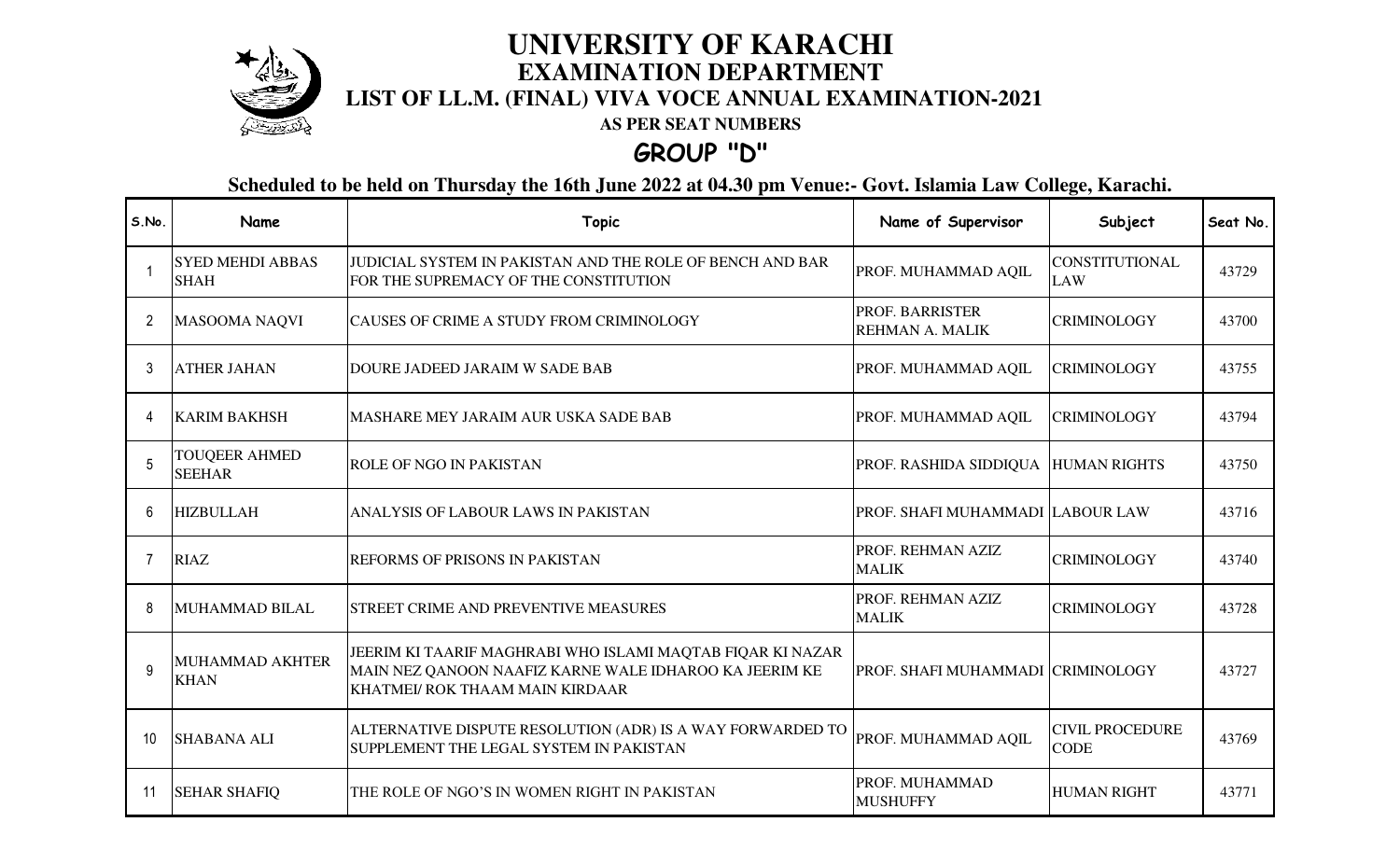

## **LIST OF LL.M. (FINAL) VIVA VOCE ANNUAL EXAMINATION-2021 UNIVERSITY OF KARACHI EXAMINATION DEPARTMENT**

**AS PER SEAT NUMBERS**

## **GROUP "D"**

**Scheduled to be held on Thursday the 16th June 2022 at 04.30 pm Venue:- Govt. Islamia Law College, Karachi.**

| S.No.        | Name                                   | <b>Topic</b>                                                                                                                                            | Name of Supervisor                               | Subject                               | Seat No. |
|--------------|----------------------------------------|---------------------------------------------------------------------------------------------------------------------------------------------------------|--------------------------------------------------|---------------------------------------|----------|
|              | <b>SYED MEHDI ABBAS</b><br><b>SHAH</b> | JUDICIAL SYSTEM IN PAKISTAN AND THE ROLE OF BENCH AND BAR<br>FOR THE SUPREMACY OF THE CONSTITUTION                                                      | PROF. MUHAMMAD AQIL                              | <b>CONSTITUTIONAL</b><br><b>LAW</b>   | 43729    |
| 2            | <b>MASOOMA NAQVI</b>                   | CAUSES OF CRIME A STUDY FROM CRIMINOLOGY                                                                                                                | <b>PROF. BARRISTER</b><br><b>REHMAN A. MALIK</b> | <b>CRIMINOLOGY</b>                    | 43700    |
|              | <b>ATHER JAHAN</b>                     | DOURE JADEED JARAIM W SADE BAB                                                                                                                          | PROF. MUHAMMAD AQIL                              | <b>CRIMINOLOGY</b>                    | 43755    |
| 4            | <b>KARIM BAKHSH</b>                    | MASHARE MEY JARAIM AUR USKA SADE BAB                                                                                                                    | PROF. MUHAMMAD AQIL                              | <b>CRIMINOLOGY</b>                    | 43794    |
|              | <b>TOUQEER AHMED</b><br><b>SEEHAR</b>  | <b>ROLE OF NGO IN PAKISTAN</b>                                                                                                                          | PROF. RASHIDA SIDDIQUA  HUMAN RIGHTS             |                                       | 43750    |
| 6            | <b>HIZBULLAH</b>                       | ANALYSIS OF LABOUR LAWS IN PAKISTAN                                                                                                                     | PROF. SHAFI MUHAMMADI LABOUR LAW                 |                                       | 43716    |
| 7            | <b>RIAZ</b>                            | REFORMS OF PRISONS IN PAKISTAN                                                                                                                          | PROF. REHMAN AZIZ<br><b>MALIK</b>                | <b>CRIMINOLOGY</b>                    | 43740    |
| 8            | <b>MUHAMMAD BILAL</b>                  | STREET CRIME AND PREVENTIVE MEASURES                                                                                                                    | PROF. REHMAN AZIZ<br><b>MALIK</b>                | <b>CRIMINOLOGY</b>                    | 43728    |
| $\mathsf{q}$ | <b>MUHAMMAD AKHTER</b><br><b>KHAN</b>  | JEERIM KI TAARIF MAGHRABI WHO ISLAMI MAQTAB FIQAR KI NAZAR<br>MAIN NEZ QANOON NAAFIZ KARNE WALE IDHAROO KA JEERIM KE<br>KHATMEI/ ROK THAAM MAIN KIRDAAR | PROF. SHAFI MUHAMMADI CRIMINOLOGY                |                                       | 43727    |
| 10           | <b>SHABANA ALI</b>                     | ALTERNATIVE DISPUTE RESOLUTION (ADR) IS A WAY FORWARDED TO<br>SUPPLEMENT THE LEGAL SYSTEM IN PAKISTAN                                                   | PROF. MUHAMMAD AQIL                              | <b>CIVIL PROCEDURE</b><br><b>CODE</b> | 43769    |
| 11           | <b>SEHAR SHAFIQ</b>                    | THE ROLE OF NGO'S IN WOMEN RIGHT IN PAKISTAN                                                                                                            | PROF. MUHAMMAD<br><b>MUSHUFFY</b>                | <b>HUMAN RIGHT</b>                    | 43771    |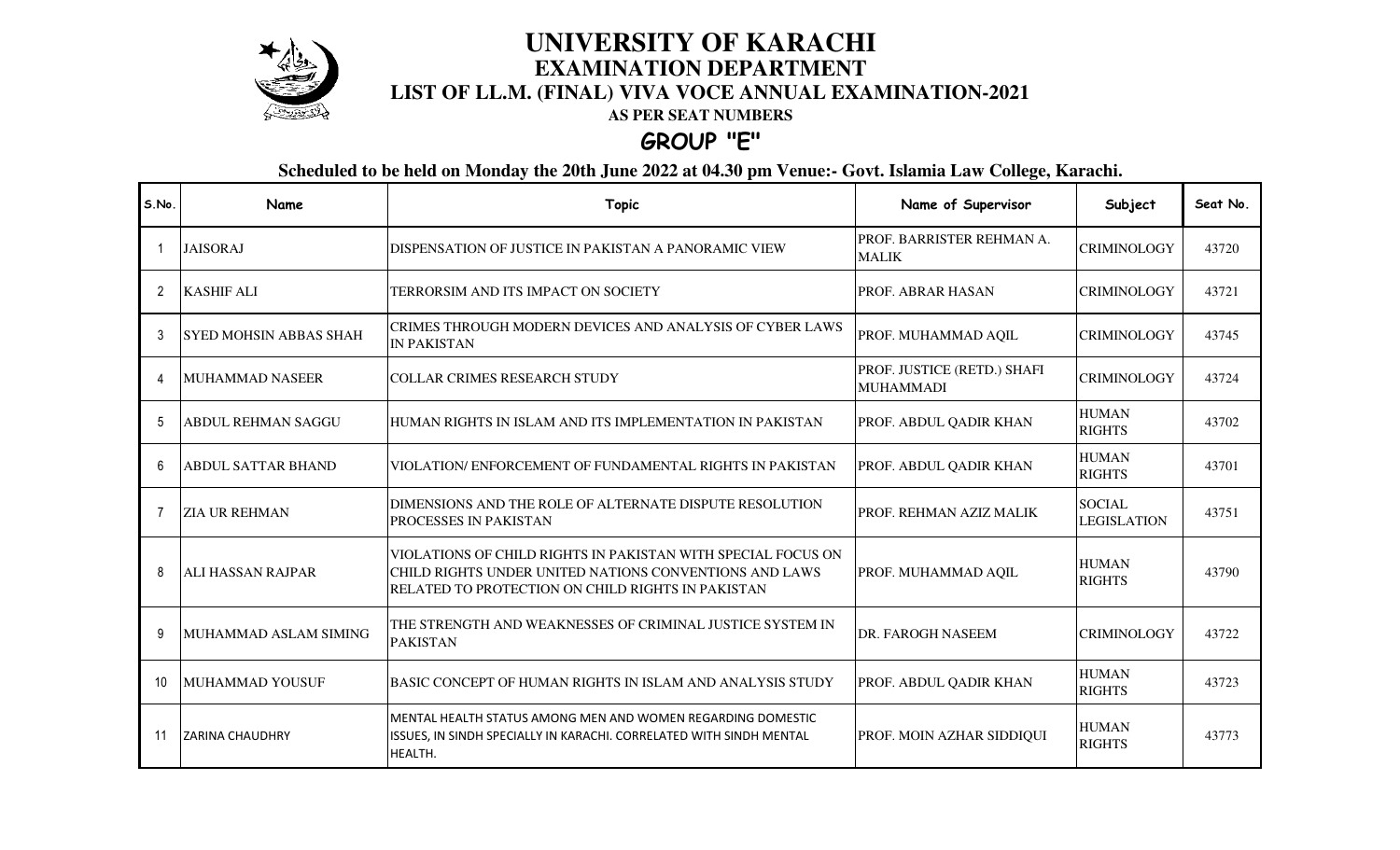

#### **LIST OF LL.M. (FINAL) VIVA VOCE ANNUAL EXAMINATION-2021 UNIVERSITY OF KARACHI EXAMINATION DEPARTMENT**

**AS PER SEAT NUMBERS**

### **GROUP "E"**

**Scheduled to be held on Monday the 20th June 2022 at 04.30 pm Venue:- Govt. Islamia Law College, Karachi.**

| S.No. | Name                      | <b>Topic</b>                                                                                                                                                                | Name of Supervisor                              | Subject                             | Seat No. |
|-------|---------------------------|-----------------------------------------------------------------------------------------------------------------------------------------------------------------------------|-------------------------------------------------|-------------------------------------|----------|
|       | <b>JAISORAJ</b>           | DISPENSATION OF JUSTICE IN PAKISTAN A PANORAMIC VIEW                                                                                                                        | PROF. BARRISTER REHMAN A.<br><b>MALIK</b>       | <b>CRIMINOLOGY</b>                  | 43720    |
| 2     | <b>KASHIF ALI</b>         | TERRORSIM AND ITS IMPACT ON SOCIETY                                                                                                                                         | PROF. ABRAR HASAN                               | <b>CRIMINOLOGY</b>                  | 43721    |
|       | ISYED MOHSIN ABBAS SHAH   | CRIMES THROUGH MODERN DEVICES AND ANALYSIS OF CYBER LAWS<br><b>IN PAKISTAN</b>                                                                                              | PROF. MUHAMMAD AQIL                             | <b>CRIMINOLOGY</b>                  | 43745    |
|       | <b>MUHAMMAD NASEER</b>    | <b>COLLAR CRIMES RESEARCH STUDY</b>                                                                                                                                         | PROF. JUSTICE (RETD.) SHAFI<br><b>MUHAMMADI</b> | <b>CRIMINOLOGY</b>                  | 43724    |
|       | <b>ABDUL REHMAN SAGGU</b> | HUMAN RIGHTS IN ISLAM AND ITS IMPLEMENTATION IN PAKISTAN                                                                                                                    | PROF. ABDUL QADIR KHAN                          | <b>HUMAN</b><br><b>RIGHTS</b>       | 43702    |
| 6     | <b>ABDUL SATTAR BHAND</b> | VIOLATION/ENFORCEMENT OF FUNDAMENTAL RIGHTS IN PAKISTAN                                                                                                                     | PROF. ABDUL QADIR KHAN                          | <b>HUMAN</b><br><b>RIGHTS</b>       | 43701    |
|       | <b>ZIA UR REHMAN</b>      | DIMENSIONS AND THE ROLE OF ALTERNATE DISPUTE RESOLUTION<br>PROCESSES IN PAKISTAN                                                                                            | PROF. REHMAN AZIZ MALIK                         | <b>SOCIAL</b><br><b>LEGISLATION</b> | 43751    |
| 8     | <b>ALI HASSAN RAJPAR</b>  | VIOLATIONS OF CHILD RIGHTS IN PAKISTAN WITH SPECIAL FOCUS ON<br>CHILD RIGHTS UNDER UNITED NATIONS CONVENTIONS AND LAWS<br>RELATED TO PROTECTION ON CHILD RIGHTS IN PAKISTAN | PROF. MUHAMMAD AQIL                             | <b>HUMAN</b><br><b>RIGHTS</b>       | 43790    |
| 9     | MUHAMMAD ASLAM SIMING     | THE STRENGTH AND WEAKNESSES OF CRIMINAL JUSTICE SYSTEM IN<br><b>PAKISTAN</b>                                                                                                | DR. FAROGH NASEEM                               | <b>CRIMINOLOGY</b>                  | 43722    |
| 10    | MUHAMMAD YOUSUF           | <b>BASIC CONCEPT OF HUMAN RIGHTS IN ISLAM AND ANALYSIS STUDY</b>                                                                                                            | PROF. ABDUL QADIR KHAN                          | <b>HUMAN</b><br><b>RIGHTS</b>       | 43723    |
| 11    | <b>ZARINA CHAUDHRY</b>    | MENTAL HEALTH STATUS AMONG MEN AND WOMEN REGARDING DOMESTIC<br>ISSUES, IN SINDH SPECIALLY IN KARACHI. CORRELATED WITH SINDH MENTAL<br>HEALTH.                               | PROF. MOIN AZHAR SIDDIQUI                       | <b>HUMAN</b><br><b>RIGHTS</b>       | 43773    |